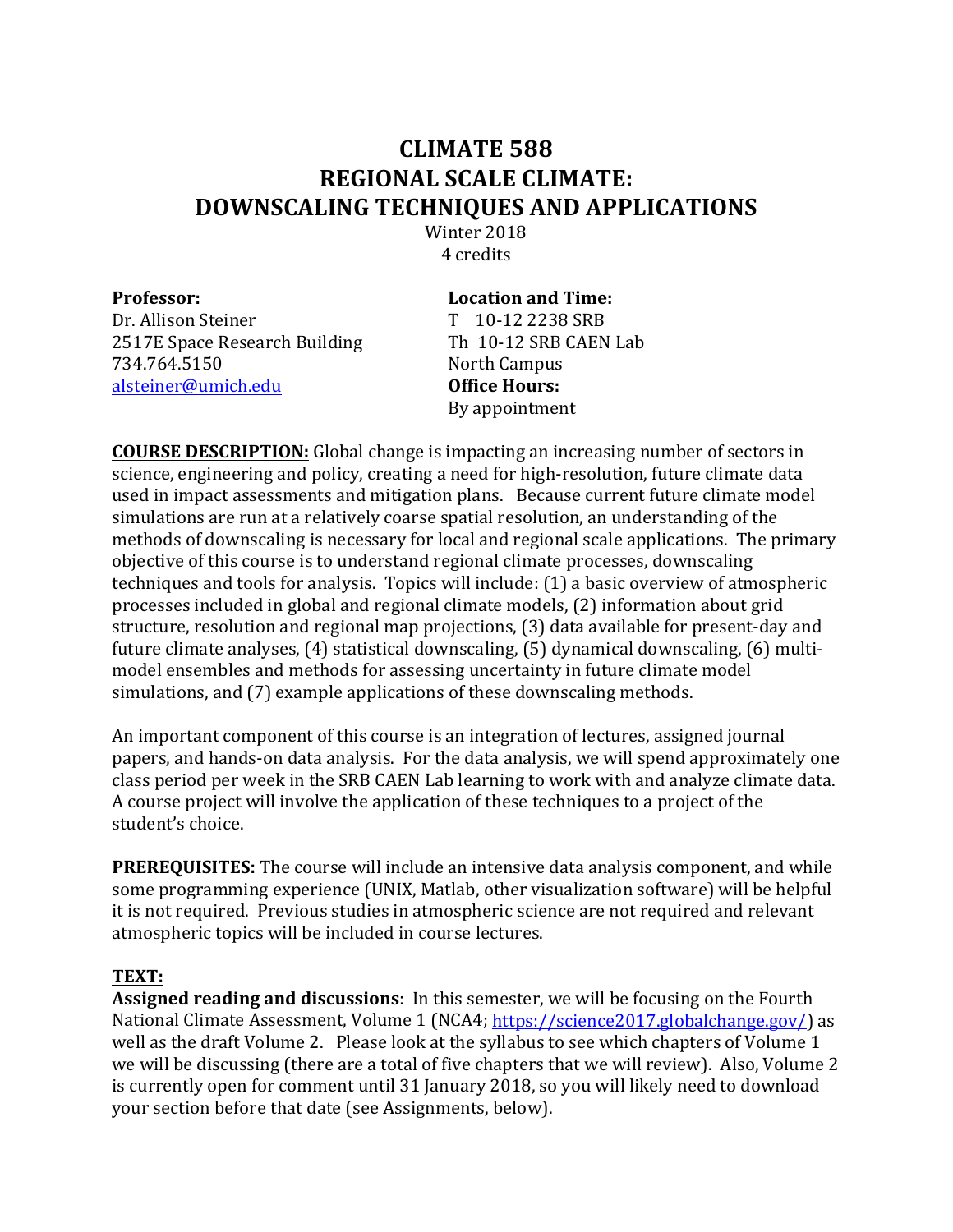## **CLIMATE 588 REGIONAL SCALE CLIMATE: DOWNSCALING TECHNIQUES AND APPLICATIONS**

Winter 2018 4 credits

| <b>Professor:</b>             | <b>Location and Time:</b> |
|-------------------------------|---------------------------|
| Dr. Allison Steiner           | T 10-12 2238 SRB          |
| 2517E Space Research Building | Th 10-12 SRB CAEN Lab     |
| 734.764.5150                  | North Campus              |
| alsteiner@umich.edu           | <b>Office Hours:</b>      |
|                               | By appointment            |

**COURSE DESCRIPTION:** Global change is impacting an increasing number of sectors in science, engineering and policy, creating a need for high-resolution, future climate data used in impact assessments and mitigation plans. Because current future climate model simulations are run at a relatively coarse spatial resolution, an understanding of the methods of downscaling is necessary for local and regional scale applications. The primary objective of this course is to understand regional climate processes, downscaling techniques and tools for analysis. Topics will include: (1) a basic overview of atmospheric processes included in global and regional climate models, (2) information about grid structure, resolution and regional map projections, (3) data available for present-day and future climate analyses,  $(4)$  statistical downscaling,  $(5)$  dynamical downscaling,  $(6)$  multimodel ensembles and methods for assessing uncertainty in future climate model simulations, and (7) example applications of these downscaling methods.

An important component of this course is an integration of lectures, assigned journal papers, and hands-on data analysis. For the data analysis, we will spend approximately one class period per week in the SRB CAEN Lab learning to work with and analyze climate data. A course project will involve the application of these techniques to a project of the student's choice.

**PREREQUISITES:** The course will include an intensive data analysis component, and while some programming experience (UNIX, Matlab, other visualization software) will be helpful it is not required. Previous studies in atmospheric science are not required and relevant atmospheric topics will be included in course lectures.

## **TEXT:**

**Assigned reading and discussions**: In this semester, we will be focusing on the Fourth National Climate Assessment, Volume 1 (NCA4; https://science2017.globalchange.gov/) as well as the draft Volume 2. Please look at the syllabus to see which chapters of Volume 1 we will be discussing (there are a total of five chapters that we will review). Also, Volume 2 is currently open for comment until 31 January 2018, so you will likely need to download your section before that date (see Assignments, below).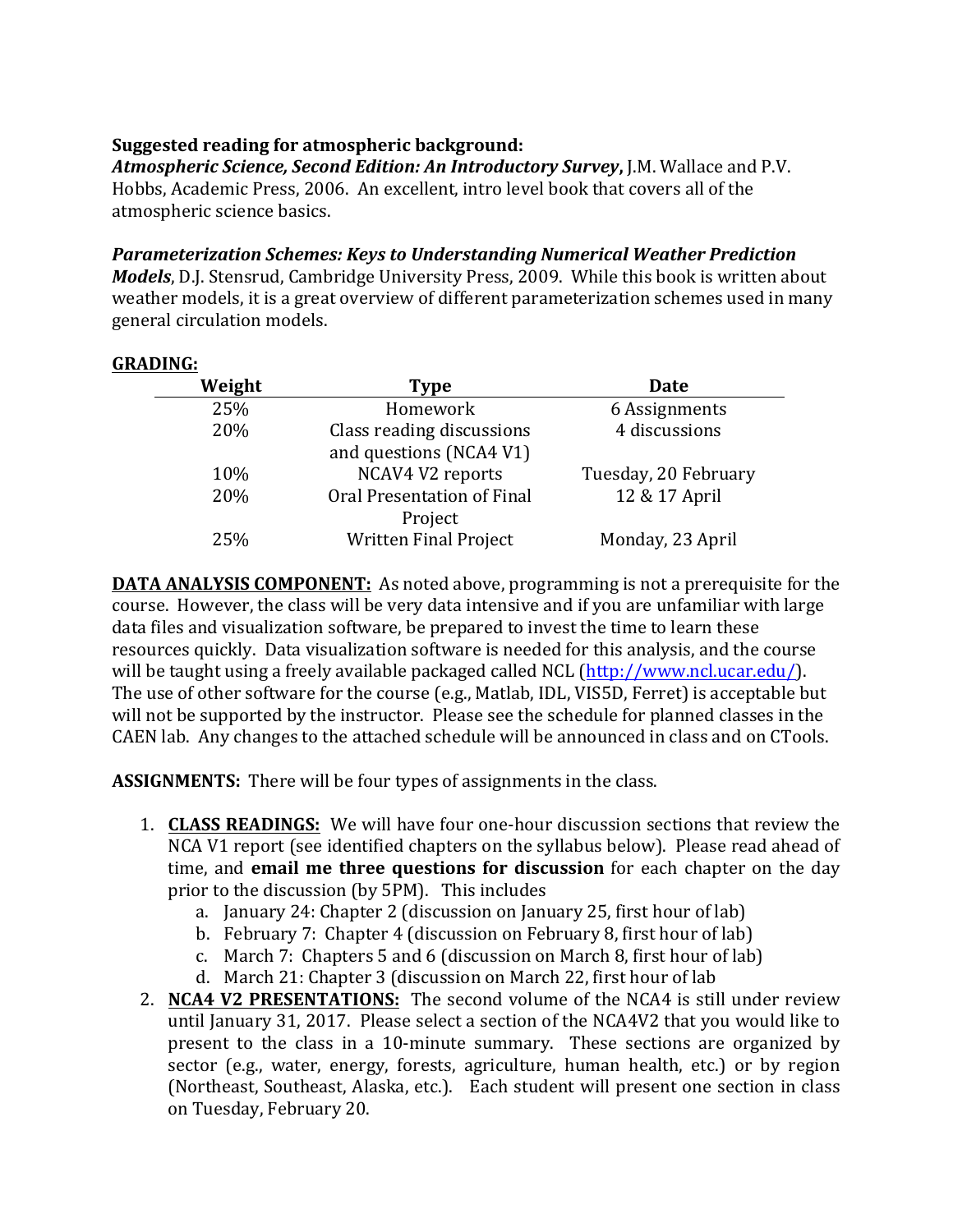## **Suggested reading for atmospheric background:**

**Atmospheric Science, Second Edition: An Introductory Survey, J.M. Wallace and P.V.** Hobbs, Academic Press, 2006. An excellent, intro level book that covers all of the atmospheric science basics.

## **Parameterization Schemes: Keys to Understanding Numerical Weather Prediction**

*Models*, D.J. Stensrud, Cambridge University Press, 2009. While this book is written about weather models, it is a great overview of different parameterization schemes used in many general circulation models.

|--|

| Weight | <b>Type</b>                                          | <b>Date</b>          |
|--------|------------------------------------------------------|----------------------|
| 25%    | Homework                                             | 6 Assignments        |
| 20%    | Class reading discussions<br>and questions (NCA4 V1) | 4 discussions        |
| 10%    | NCAV4 V2 reports                                     | Tuesday, 20 February |
| 20%    | Oral Presentation of Final<br>Project                | 12 & 17 April        |
| 25%    | <b>Written Final Project</b>                         | Monday, 23 April     |

**DATA ANALYSIS COMPONENT:** As noted above, programming is not a prerequisite for the course. However, the class will be very data intensive and if you are unfamiliar with large data files and visualization software, be prepared to invest the time to learn these resources quickly. Data visualization software is needed for this analysis, and the course will be taught using a freely available packaged called NCL (http://www.ncl.ucar.edu/). The use of other software for the course (e.g., Matlab, IDL, VIS5D, Ferret) is acceptable but will not be supported by the instructor. Please see the schedule for planned classes in the CAEN lab. Any changes to the attached schedule will be announced in class and on CTools.

**ASSIGNMENTS:** There will be four types of assignments in the class.

- 1. **CLASS READINGS:** We will have four one-hour discussion sections that review the NCA V1 report (see identified chapters on the syllabus below). Please read ahead of time, and **email me three questions for discussion** for each chapter on the day prior to the discussion (by 5PM). This includes
	- a. January 24: Chapter 2 (discussion on January 25, first hour of lab)
	- b. February 7: Chapter 4 (discussion on February 8, first hour of lab)
	- c. March 7: Chapters 5 and 6 (discussion on March 8, first hour of lab)
	- d. March 21: Chapter 3 (discussion on March 22, first hour of lab
- 2. **NCA4 V2 PRESENTATIONS:** The second volume of the NCA4 is still under review until January 31, 2017. Please select a section of the NCA4V2 that you would like to present to the class in a 10-minute summary. These sections are organized by sector (e.g., water, energy, forests, agriculture, human health, etc.) or by region (Northeast, Southeast, Alaska, etc.). Each student will present one section in class on Tuesday, February 20.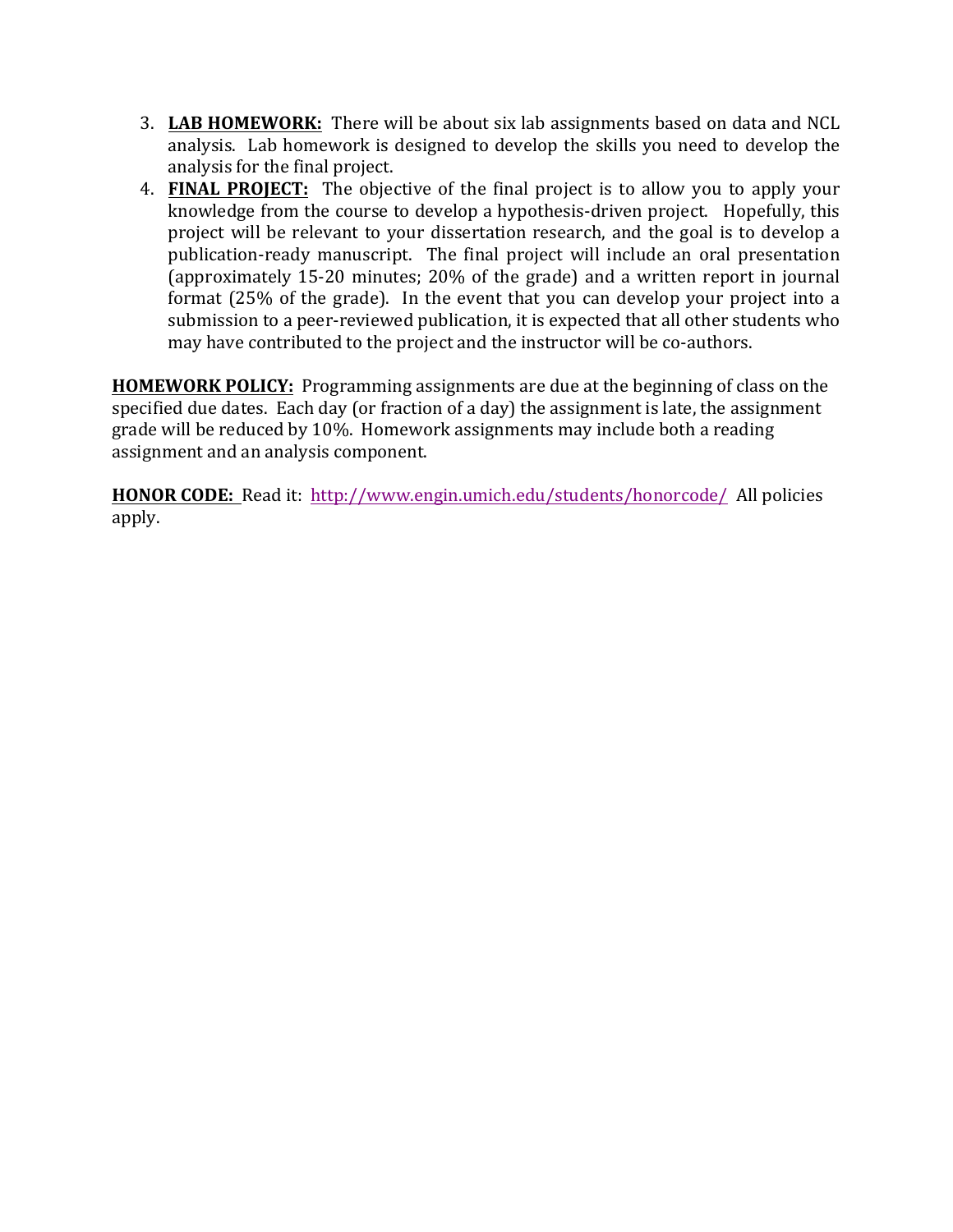- 3. LAB HOMEWORK: There will be about six lab assignments based on data and NCL analysis. Lab homework is designed to develop the skills you need to develop the analysis for the final project.
- 4. **FINAL PROJECT:** The objective of the final project is to allow you to apply your knowledge from the course to develop a hypothesis-driven project. Hopefully, this project will be relevant to your dissertation research, and the goal is to develop a publication-ready manuscript. The final project will include an oral presentation (approximately 15-20 minutes; 20% of the grade) and a written report in journal format  $(25\%$  of the grade). In the event that you can develop your project into a submission to a peer-reviewed publication, it is expected that all other students who may have contributed to the project and the instructor will be co-authors.

**HOMEWORK POLICY:** Programming assignments are due at the beginning of class on the specified due dates. Each day (or fraction of a day) the assignment is late, the assignment grade will be reduced by 10%. Homework assignments may include both a reading assignment and an analysis component.

**HONOR CODE:** Read it: http://www.engin.umich.edu/students/honorcode/ All policies apply.